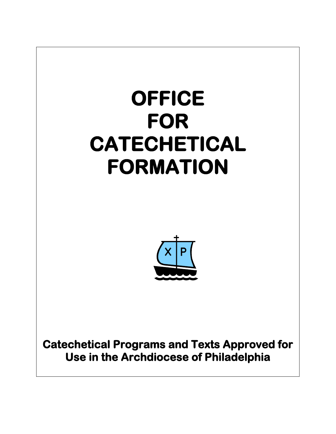## **OFFICE FOR CATECHETICAL FORMATION**



**Catechetical Programs and Texts Approved for Use in the Archdiocese of Philadelphia**